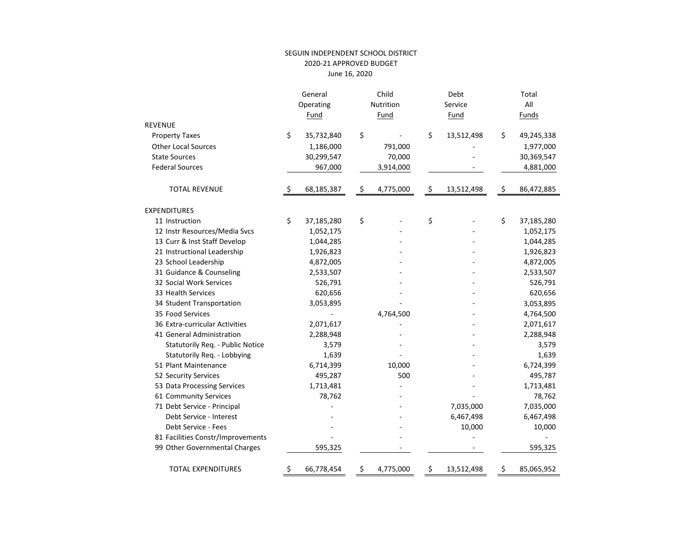## SEGUIN INDEPENDENT SCHOOL DISTRICT 2020‐21 APPROVED BUDGET June 16, <sup>2020</sup>

|                                   | General          | Child           | Debt             | Total |            |  |
|-----------------------------------|------------------|-----------------|------------------|-------|------------|--|
|                                   | Operating        | Nutrition       | Service          |       | All        |  |
|                                   | Fund             | Fund            | Fund             | Funds |            |  |
| <b>REVENUE</b>                    |                  |                 |                  |       |            |  |
| <b>Property Taxes</b>             | \$<br>35,732,840 | \$              | \$<br>13,512,498 | \$    | 49,245,338 |  |
| <b>Other Local Sources</b>        | 1,186,000        | 791,000         |                  |       | 1,977,000  |  |
| <b>State Sources</b>              | 30,299,547       | 70,000          |                  |       | 30,369,547 |  |
| <b>Federal Sources</b>            | 967,000          | 3,914,000       |                  |       | 4,881,000  |  |
| <b>TOTAL REVENUE</b>              | \$<br>68,185,387 | \$<br>4,775,000 | \$<br>13,512,498 | \$    | 86,472,885 |  |
| <b>EXPENDITURES</b>               |                  |                 |                  |       |            |  |
| 11 Instruction                    | \$<br>37,185,280 | \$              | \$               | \$    | 37,185,280 |  |
| 12 Instr Resources/Media Svcs     | 1,052,175        |                 |                  |       | 1,052,175  |  |
| 13 Curr & Inst Staff Develop      | 1,044,285        |                 |                  |       | 1,044,285  |  |
| 21 Instructional Leadership       | 1,926,823        |                 |                  |       | 1,926,823  |  |
| 23 School Leadership              | 4,872,005        |                 |                  |       | 4,872,005  |  |
| 31 Guidance & Counseling          | 2,533,507        |                 |                  |       | 2,533,507  |  |
| 32 Social Work Services           | 526,791          |                 |                  |       | 526,791    |  |
| 33 Health Services                | 620,656          |                 |                  |       | 620,656    |  |
| 34 Student Transportation         | 3,053,895        |                 |                  |       | 3,053,895  |  |
| 35 Food Services                  |                  | 4,764,500       |                  |       | 4,764,500  |  |
| 36 Extra-curricular Activities    | 2,071,617        |                 |                  |       | 2,071,617  |  |
| 41 General Administration         | 2,288,948        |                 |                  |       | 2,288,948  |  |
| Statutorily Req. - Public Notice  | 3,579            |                 |                  |       | 3,579      |  |
| Statutorily Req. - Lobbying       | 1,639            |                 |                  |       | 1,639      |  |
| 51 Plant Maintenance              | 6,714,399        | 10,000          |                  |       | 6,724,399  |  |
| 52 Security Services              | 495,287          | 500             |                  |       | 495,787    |  |
| 53 Data Processing Services       | 1,713,481        |                 |                  |       | 1,713,481  |  |
| 61 Community Services             | 78,762           |                 |                  |       | 78,762     |  |
| 71 Debt Service - Principal       |                  |                 | 7,035,000        |       | 7,035,000  |  |
| Debt Service - Interest           |                  |                 | 6,467,498        |       | 6,467,498  |  |
| Debt Service - Fees               |                  |                 | 10,000           |       | 10,000     |  |
| 81 Facilities Constr/Improvements |                  |                 |                  |       |            |  |
| 99 Other Governmental Charges     | 595,325          |                 |                  |       | 595,325    |  |
| <b>TOTAL EXPENDITURES</b>         | \$<br>66,778,454 | \$<br>4,775,000 | \$<br>13,512,498 | Ş     | 85,065,952 |  |